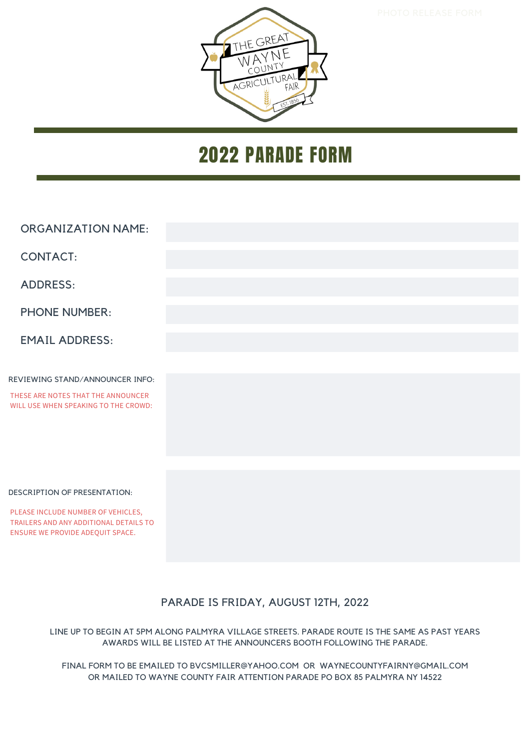

### 2022 PARADE FORM

| <b>ORGANIZATION NAME:</b>            |  |
|--------------------------------------|--|
| <b>CONTACT:</b>                      |  |
|                                      |  |
| <b>ADDRESS:</b>                      |  |
|                                      |  |
| <b>PHONE NUMBER:</b>                 |  |
|                                      |  |
| <b>EMAIL ADDRESS:</b>                |  |
|                                      |  |
| REVIEWING STAND/ANNOUNCER INFO:      |  |
| THESE ARE NOTES THAT THE ANNOUNCER   |  |
| WILL USE WHEN SPEAKING TO THE CROWD: |  |
|                                      |  |
|                                      |  |
|                                      |  |
|                                      |  |

#### DESCRIPTION OF PRESENTATION:

PLEASE INCLUDE NUMBER OF VEHICLES, TRAILERS AND ANY ADDITIONAL DETAILS TO ENSURE WE PROVIDE ADEQUIT SPACE.

### PARADE IS FRIDAY, AUGUST 12TH, 2022

LINE UP TO BEGIN AT 5PM ALONG PALMYRA VILLAGE STREETS. PARADE ROUTE IS THE SAME AS PAST YEARS AWARDS WILL BE LISTED AT THE ANNOUNCERS BOOTH FOLLOWING THE PARADE.

FINAL FORM TO BE EMAILED TO BVCSMILLER@YAHOO.COM OR WAYNECOUNTYFAIRNY@GMAIL.COM OR MAILED TO WAYNE COUNTY FAIR ATTENTION PARADE PO BOX 85 PALMYRA NY 14522